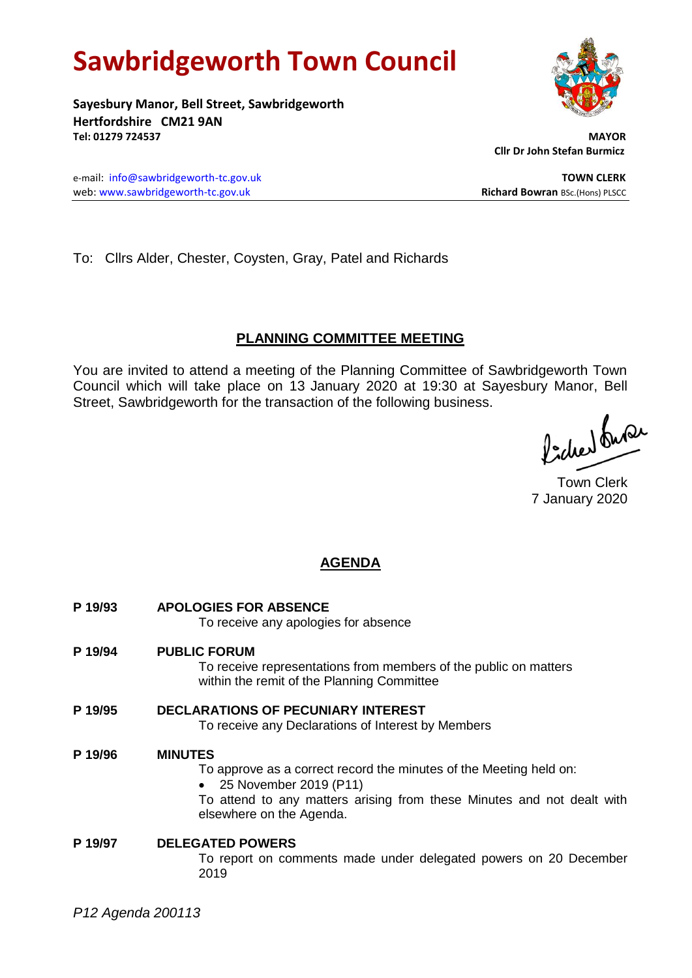# **Sawbridgeworth Town Council**

**Sayesbury Manor, Bell Street, Sawbridgeworth Hertfordshire CM21 9AN Tel: 01279 724537 MAYOR**

 **Cllr Dr John Stefan Burmicz**

e-mail: [info@sawbridgeworth-tc.gov.uk](mailto:info@sawbridgeworth-tc.gov.uk) **TOWN CLERK** web: www.sawbridgeworth-tc.gov.uk<br> **Richard Bowran** BSc.(Hons) PLSCC

To: Cllrs Alder, Chester, Coysten, Gray, Patel and Richards

# **PLANNING COMMITTEE MEETING**

You are invited to attend a meeting of the Planning Committee of Sawbridgeworth Town Council which will take place on 13 January 2020 at 19:30 at Sayesbury Manor, Bell Street, Sawbridgeworth for the transaction of the following business.

Picked fuse

Town Clerk 7 January 2020

# **AGENDA**

**P 19/93 APOLOGIES FOR ABSENCE** To receive any apologies for absence **P 19/94 PUBLIC FORUM** To receive representations from members of the public on matters within the remit of the Planning Committee **P 19/95 DECLARATIONS OF PECUNIARY INTEREST** To receive any Declarations of Interest by Members **P 19/96 MINUTES**

# To approve as a correct record the minutes of the Meeting held on:

25 November 2019 (P11)

To attend to any matters arising from these Minutes and not dealt with elsewhere on the Agenda.

## **P 19/97 DELEGATED POWERS** To report on comments made under delegated powers on 20 December 2019

*P12 Agenda 200113*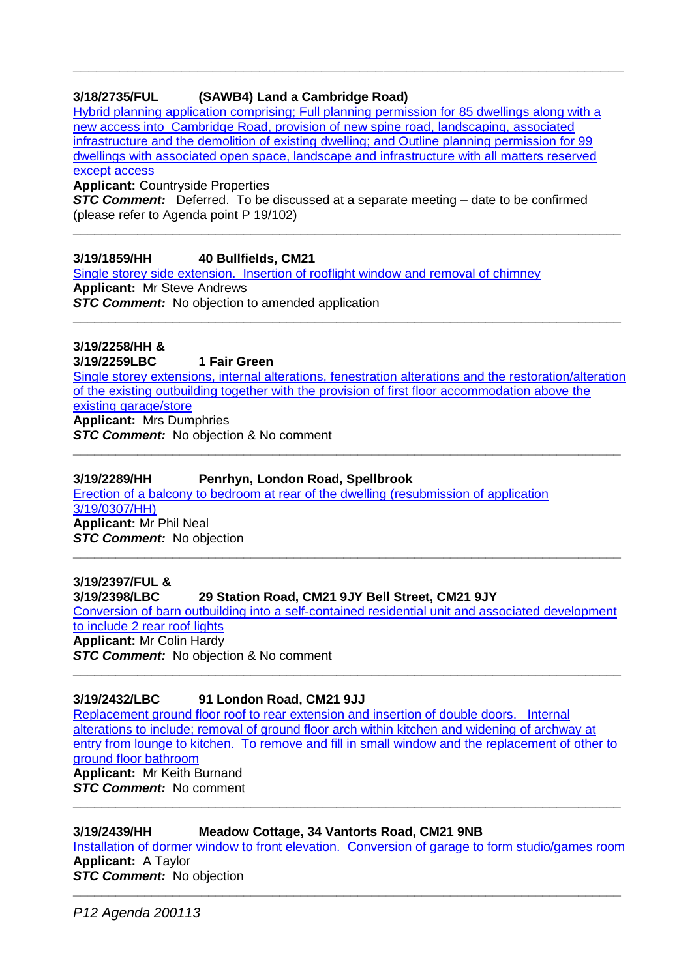# **3/18/2735/FUL (SAWB4) Land a Cambridge Road)**

[Hybrid planning application comprising; Full planning permission for 85 dwellings along with a](https://publicaccess.eastherts.gov.uk/online-applications/applicationDetails.do?activeTab=documents&keyVal=PJQHW9GLH9700)  [new access into Cambridge Road, provision of new spine road, landscaping, associated](https://publicaccess.eastherts.gov.uk/online-applications/applicationDetails.do?activeTab=documents&keyVal=PJQHW9GLH9700)  [infrastructure and the demolition of existing dwelling; and Outline planning permission for 99](https://publicaccess.eastherts.gov.uk/online-applications/applicationDetails.do?activeTab=documents&keyVal=PJQHW9GLH9700)  [dwellings with associated open space, landscape and infrastructure with all matters reserved](https://publicaccess.eastherts.gov.uk/online-applications/applicationDetails.do?activeTab=documents&keyVal=PJQHW9GLH9700)  [except access](https://publicaccess.eastherts.gov.uk/online-applications/applicationDetails.do?activeTab=documents&keyVal=PJQHW9GLH9700) 

**\_\_\_\_\_\_\_\_\_\_\_\_\_\_\_\_\_\_\_\_\_\_\_\_\_\_\_\_\_\_\_\_\_\_\_\_\_\_\_\_\_\_\_\_\_\_\_\_\_\_\_\_\_\_\_\_\_\_\_\_\_\_\_\_\_\_\_\_\_\_\_**

**Applicant:** Countryside Properties

**STC Comment:** Deferred. To be discussed at a separate meeting – date to be confirmed (please refer to Agenda point P 19/102)

**\_\_\_\_\_\_\_\_\_\_\_\_\_\_\_\_\_\_\_\_\_\_\_\_\_\_\_\_\_\_\_\_\_\_\_\_\_\_\_\_\_\_\_\_\_\_\_\_\_\_\_\_\_\_\_\_\_\_\_\_\_\_\_\_\_\_\_\_\_\_\_\_\_\_\_\_\_**

**3/19/1859/HH 40 Bullfields, CM21**

[Single storey side extension. Insertion of rooflight window and removal of chimney](https://publicaccess.eastherts.gov.uk/online-applications/applicationDetails.do?activeTab=documents&keyVal=PXNYPFGLL1H00) **Applicant:** Mr Steve Andrews

**STC Comment:** No objection to amended application

**3/19/2258/HH & 3/19/2259LBC 1 Fair Green** [Single storey extensions, internal alterations, fenestration alterations and the restoration/alteration](https://publicaccess.eastherts.gov.uk/online-applications/applicationDetails.do?activeTab=documents&keyVal=Q0I77RGLLTD00)  [of the existing outbuilding together with the provision of first floor accommodation above the](https://publicaccess.eastherts.gov.uk/online-applications/applicationDetails.do?activeTab=documents&keyVal=Q0I77RGLLTD00)  [existing garage/store](https://publicaccess.eastherts.gov.uk/online-applications/applicationDetails.do?activeTab=documents&keyVal=Q0I77RGLLTD00) **Applicant:** Mrs Dumphries

**\_\_\_\_\_\_\_\_\_\_\_\_\_\_\_\_\_\_\_\_\_\_\_\_\_\_\_\_\_\_\_\_\_\_\_\_\_\_\_\_\_\_\_\_\_\_\_\_\_\_\_\_\_\_\_\_\_\_\_\_\_\_\_\_\_\_\_\_\_\_\_\_\_\_\_\_\_**

**\_\_\_\_\_\_\_\_\_\_\_\_\_\_\_\_\_\_\_\_\_\_\_\_\_\_\_\_\_\_\_\_\_\_\_\_\_\_\_\_\_\_\_\_\_\_\_\_\_\_\_\_\_\_\_\_\_\_\_\_\_\_\_\_\_\_\_\_\_\_\_\_\_\_\_\_\_**

**STC Comment:** No objection & No comment

## **3/19/2289/HH Penrhyn, London Road, Spellbrook**

[Erection of a balcony to bedroom at rear of the dwelling \(resubmission of application](https://publicaccess.eastherts.gov.uk/online-applications/applicationDetails.do?activeTab=documents&keyVal=Q0SOXMGLLVT00)  [3/19/0307/HH\)](https://publicaccess.eastherts.gov.uk/online-applications/applicationDetails.do?activeTab=documents&keyVal=Q0SOXMGLLVT00) **Applicant:** Mr Phil Neal *STC Comment:* No objection **\_\_\_\_\_\_\_\_\_\_\_\_\_\_\_\_\_\_\_\_\_\_\_\_\_\_\_\_\_\_\_\_\_\_\_\_\_\_\_\_\_\_\_\_\_\_\_\_\_\_\_\_\_\_\_\_\_\_\_\_\_\_\_\_\_\_\_\_\_\_\_\_\_\_\_\_\_**

**3/19/2397/FUL & 3/19/2398/LBC 29 Station Road, CM21 9JY Bell Street, CM21 9JY** [Conversion of barn outbuilding into a self-contained residential unit and associated development](https://publicaccess.eastherts.gov.uk/online-applications/applicationDetails.do?activeTab=documents&keyVal=Q1KS3IGLM3V00)  [to include 2 rear roof lights](https://publicaccess.eastherts.gov.uk/online-applications/applicationDetails.do?activeTab=documents&keyVal=Q1KS3IGLM3V00) **Applicant:** Mr Colin Hardy *STC Comment:* No objection & No comment **\_\_\_\_\_\_\_\_\_\_\_\_\_\_\_\_\_\_\_\_\_\_\_\_\_\_\_\_\_\_\_\_\_\_\_\_\_\_\_\_\_\_\_\_\_\_\_\_\_\_\_\_\_\_\_\_\_\_\_\_\_\_\_\_\_\_\_\_\_\_\_\_\_\_\_\_\_**

## **3/19/2432/LBC 91 London Road, CM21 9JJ**

[Replacement ground floor roof to rear extension and insertion of double doors. Internal](https://publicaccess.eastherts.gov.uk/online-applications/applicationDetails.do?activeTab=documents&keyVal=Q1Q0ZMGLM6800)  [alterations to include; removal of ground floor arch within kitchen and widening of archway at](https://publicaccess.eastherts.gov.uk/online-applications/applicationDetails.do?activeTab=documents&keyVal=Q1Q0ZMGLM6800)  entry from lounge to kitchen. To remove and fill in small window and the replacement of other to [ground floor bathroom](https://publicaccess.eastherts.gov.uk/online-applications/applicationDetails.do?activeTab=documents&keyVal=Q1Q0ZMGLM6800) **Applicant:** Mr Keith Burnand *STC Comment:* No comment

**\_\_\_\_\_\_\_\_\_\_\_\_\_\_\_\_\_\_\_\_\_\_\_\_\_\_\_\_\_\_\_\_\_\_\_\_\_\_\_\_\_\_\_\_\_\_\_\_\_\_\_\_\_\_\_\_\_\_\_\_\_\_\_\_\_\_\_\_\_\_\_\_\_\_\_\_\_**

**3/19/2439/HH Meadow Cottage, 34 Vantorts Road, CM21 9NB** [Installation of dormer window to front elevation. Conversion of garage to form studio/games room](https://publicaccess.eastherts.gov.uk/online-applications/applicationDetails.do?activeTab=documents&keyVal=Q1QC2EGLM6M00) **Applicant:** A Taylor **STC Comment:** No objection

**\_\_\_\_\_\_\_\_\_\_\_\_\_\_\_\_\_\_\_\_\_\_\_\_\_\_\_\_\_\_\_\_\_\_\_\_\_\_\_\_\_\_\_\_\_\_\_\_\_\_\_\_\_\_\_\_\_\_\_\_\_\_\_\_\_\_\_\_\_\_\_\_\_\_\_\_\_**

*P12 Agenda 200113*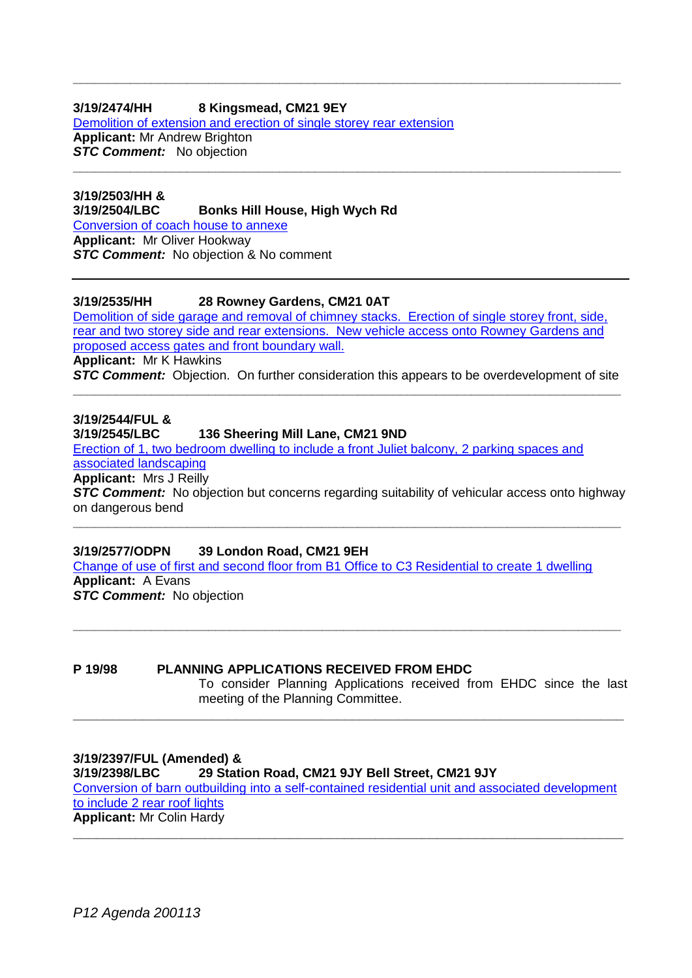# **3/19/2474/HH 8 Kingsmead, CM21 9EY**

[Demolition of extension and erection of single storey rear extension](https://publicaccess.eastherts.gov.uk/online-applications/applicationDetails.do?activeTab=documents&keyVal=Q21514GLM9700) **Applicant:** Mr Andrew Brighton **STC Comment:** No objection

**3/19/2503/HH & 3/19/2504/LBC Bonks Hill House, High Wych Rd** [Conversion of coach house to annexe](https://publicaccess.eastherts.gov.uk/online-applications/applicationDetails.do?activeTab=documents&keyVal=Q2AE9FGLMB700) **Applicant:** Mr Oliver Hookway **STC Comment:** No objection & No comment

**3/19/2535/HH 28 Rowney Gardens, CM21 0AT**

[Demolition of side garage and removal of chimney](https://publicaccess.eastherts.gov.uk/online-applications/applicationDetails.do?activeTab=documents&keyVal=Q2G52VGL00X00) stacks. Erection of single storey front, side, [rear and two storey side and rear extensions. New vehicle access onto Rowney Gardens and](https://publicaccess.eastherts.gov.uk/online-applications/applicationDetails.do?activeTab=documents&keyVal=Q2G52VGL00X00)  [proposed access gates and front boundary wall.](https://publicaccess.eastherts.gov.uk/online-applications/applicationDetails.do?activeTab=documents&keyVal=Q2G52VGL00X00) **Applicant:** Mr K Hawkins **STC Comment:** Objection. On further consideration this appears to be overdevelopment of site

**\_\_\_\_\_\_\_\_\_\_\_\_\_\_\_\_\_\_\_\_\_\_\_\_\_\_\_\_\_\_\_\_\_\_\_\_\_\_\_\_\_\_\_\_\_\_\_\_\_\_\_\_\_\_\_\_\_\_\_\_\_\_\_\_\_\_\_\_\_\_\_\_\_\_\_\_\_**

**\_\_\_\_\_\_\_\_\_\_\_\_\_\_\_\_\_\_\_\_\_\_\_\_\_\_\_\_\_\_\_\_\_\_\_\_\_\_\_\_\_\_\_\_\_\_\_\_\_\_\_\_\_\_\_\_\_\_\_\_\_\_\_\_\_\_\_\_\_\_\_\_\_\_\_\_\_**

**\_\_\_\_\_\_\_\_\_\_\_\_\_\_\_\_\_\_\_\_\_\_\_\_\_\_\_\_\_\_\_\_\_\_\_\_\_\_\_\_\_\_\_\_\_\_\_\_\_\_\_\_\_\_\_\_\_\_\_\_\_\_\_\_\_\_\_\_\_\_\_\_\_\_\_\_\_**

**3/19/2544/FUL & 3/19/2545/LBC 136 Sheering Mill Lane, CM21 9ND** [Erection of 1, two bedroom dwelling to include a front Juliet balcony, 2 parking spaces and](https://publicaccess.eastherts.gov.uk/online-applications/applicationDetails.do?activeTab=documents&keyVal=Q2GKLCGLME200)  [associated landscaping](https://publicaccess.eastherts.gov.uk/online-applications/applicationDetails.do?activeTab=documents&keyVal=Q2GKLCGLME200) **Applicant:** Mrs J Reilly

**STC Comment:** No objection but concerns regarding suitability of vehicular access onto highway on dangerous bend **\_\_\_\_\_\_\_\_\_\_\_\_\_\_\_\_\_\_\_\_\_\_\_\_\_\_\_\_\_\_\_\_\_\_\_\_\_\_\_\_\_\_\_\_\_\_\_\_\_\_\_\_\_\_\_\_\_\_\_\_\_\_\_\_\_\_\_\_\_\_\_\_\_\_\_\_\_**

**3/19/2577/ODPN 39 London Road, CM21 9EH** [Change of use of first and second floor from B1 Office to C3 Residential to create 1 dwelling](https://publicaccess.eastherts.gov.uk/online-applications/applicationDetails.do?activeTab=documents&keyVal=Q2PET6GL00X00) **Applicant:** A Evans **STC Comment:** No objection

**P 19/98 PLANNING APPLICATIONS RECEIVED FROM EHDC** To consider Planning Applications received from EHDC since the last meeting of the Planning Committee.

**\_\_\_\_\_\_\_\_\_\_\_\_\_\_\_\_\_\_\_\_\_\_\_\_\_\_\_\_\_\_\_\_\_\_\_\_\_\_\_\_\_\_\_\_\_\_\_\_\_\_\_\_\_\_\_\_\_\_\_\_\_\_\_\_\_\_\_\_\_\_\_**

**\_\_\_\_\_\_\_\_\_\_\_\_\_\_\_\_\_\_\_\_\_\_\_\_\_\_\_\_\_\_\_\_\_\_\_\_\_\_\_\_\_\_\_\_\_\_\_\_\_\_\_\_\_\_\_\_\_\_\_\_\_\_\_\_\_\_\_\_\_\_\_\_\_\_\_\_\_**

**3/19/2397/FUL (Amended) & 3/19/2398/LBC 29 Station Road, CM21 9JY Bell Street, CM21 9JY** [Conversion of barn outbuilding into a self-contained residential unit and associated development](https://publicaccess.eastherts.gov.uk/online-applications/applicationDetails.do?activeTab=documents&keyVal=Q1KS3IGLM3V00)  [to include 2 rear roof lights](https://publicaccess.eastherts.gov.uk/online-applications/applicationDetails.do?activeTab=documents&keyVal=Q1KS3IGLM3V00) **Applicant:** Mr Colin Hardy

**\_\_\_\_\_\_\_\_\_\_\_\_\_\_\_\_\_\_\_\_\_\_\_\_\_\_\_\_\_\_\_\_\_\_\_\_\_\_\_\_\_\_\_\_\_\_\_\_\_\_\_\_\_\_\_\_\_\_\_\_\_\_\_\_\_\_\_\_\_\_\_**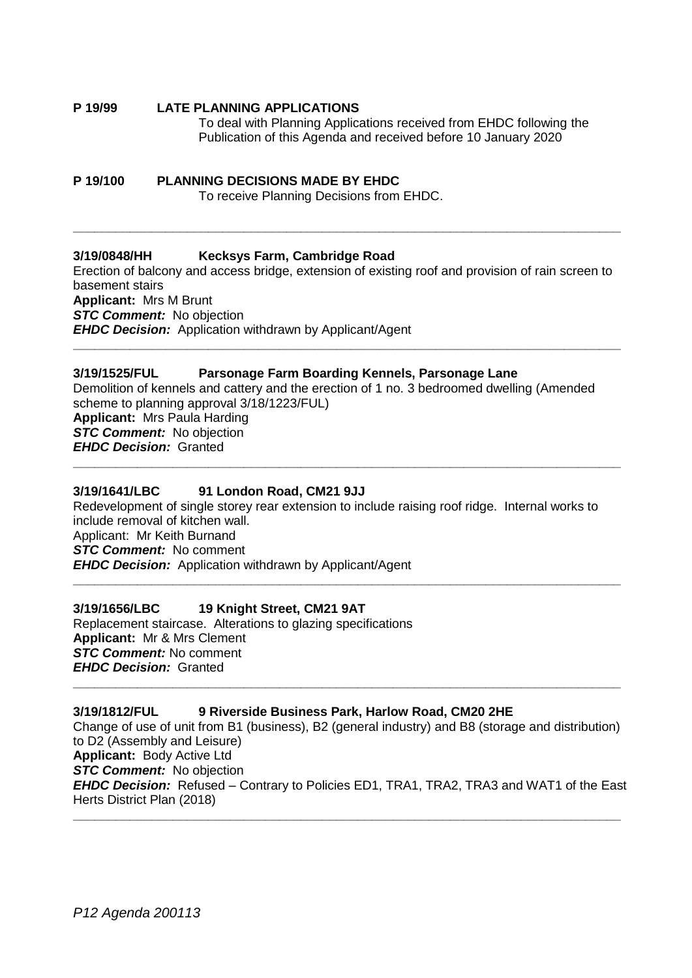#### **P 19/99 LATE PLANNING APPLICATIONS** To deal with Planning Applications received from EHDC following the Publication of this Agenda and received before 10 January 2020

# **P 19/100 PLANNING DECISIONS MADE BY EHDC**

To receive Planning Decisions from EHDC.

# **3/19/0848/HH Kecksys Farm, Cambridge Road**

Erection of balcony and access bridge, extension of existing roof and provision of rain screen to basement stairs **Applicant:** Mrs M Brunt **STC Comment:** No objection *EHDC Decision:* Application withdrawn by Applicant/Agent **\_\_\_\_\_\_\_\_\_\_\_\_\_\_\_\_\_\_\_\_\_\_\_\_\_\_\_\_\_\_\_\_\_\_\_\_\_\_\_\_\_\_\_\_\_\_\_\_\_\_\_\_\_\_\_\_\_\_\_\_\_\_\_\_\_\_\_\_\_\_\_\_\_\_\_\_\_**

**\_\_\_\_\_\_\_\_\_\_\_\_\_\_\_\_\_\_\_\_\_\_\_\_\_\_\_\_\_\_\_\_\_\_\_\_\_\_\_\_\_\_\_\_\_\_\_\_\_\_\_\_\_\_\_\_\_\_\_\_\_\_\_\_\_\_\_\_\_\_\_\_\_\_\_\_\_**

## **3/19/1525/FUL Parsonage Farm Boarding Kennels, Parsonage Lane**

Demolition of kennels and cattery and the erection of 1 no. 3 bedroomed dwelling (Amended scheme to planning approval 3/18/1223/FUL) **Applicant:** Mrs Paula Harding *STC Comment:* No objection *EHDC Decision:* Granted **\_\_\_\_\_\_\_\_\_\_\_\_\_\_\_\_\_\_\_\_\_\_\_\_\_\_\_\_\_\_\_\_\_\_\_\_\_\_\_\_\_\_\_\_\_\_\_\_\_\_\_\_\_\_\_\_\_\_\_\_\_\_\_\_\_\_\_\_\_\_\_\_\_\_\_\_\_**

## **3/19/1641/LBC 91 London Road, CM21 9JJ**

Redevelopment of single storey rear extension to include raising roof ridge. Internal works to include removal of kitchen wall. Applicant: Mr Keith Burnand *STC Comment:* No comment *EHDC Decision:* Application withdrawn by Applicant/Agent **\_\_\_\_\_\_\_\_\_\_\_\_\_\_\_\_\_\_\_\_\_\_\_\_\_\_\_\_\_\_\_\_\_\_\_\_\_\_\_\_\_\_\_\_\_\_\_\_\_\_\_\_\_\_\_\_\_\_\_\_\_\_\_\_\_\_\_\_\_\_\_\_\_\_\_\_\_**

### **3/19/1656/LBC 19 Knight Street, CM21 9AT**

Replacement staircase. Alterations to glazing specifications **Applicant:** Mr & Mrs Clement *STC Comment:* No comment *EHDC Decision:* Granted **\_\_\_\_\_\_\_\_\_\_\_\_\_\_\_\_\_\_\_\_\_\_\_\_\_\_\_\_\_\_\_\_\_\_\_\_\_\_\_\_\_\_\_\_\_\_\_\_\_\_\_\_\_\_\_\_\_\_\_\_\_\_\_\_\_\_\_\_\_\_\_\_\_\_\_\_\_**

#### **3/19/1812/FUL 9 Riverside Business Park, Harlow Road, CM20 2HE**

Change of use of unit from B1 (business), B2 (general industry) and B8 (storage and distribution) to D2 (Assembly and Leisure) **Applicant:** Body Active Ltd *STC Comment:* No objection *EHDC Decision:* Refused – Contrary to Policies ED1, TRA1, TRA2, TRA3 and WAT1 of the East Herts District Plan (2018)

**\_\_\_\_\_\_\_\_\_\_\_\_\_\_\_\_\_\_\_\_\_\_\_\_\_\_\_\_\_\_\_\_\_\_\_\_\_\_\_\_\_\_\_\_\_\_\_\_\_\_\_\_\_\_\_\_\_\_\_\_\_\_\_\_\_\_\_\_\_\_\_\_\_\_\_\_\_**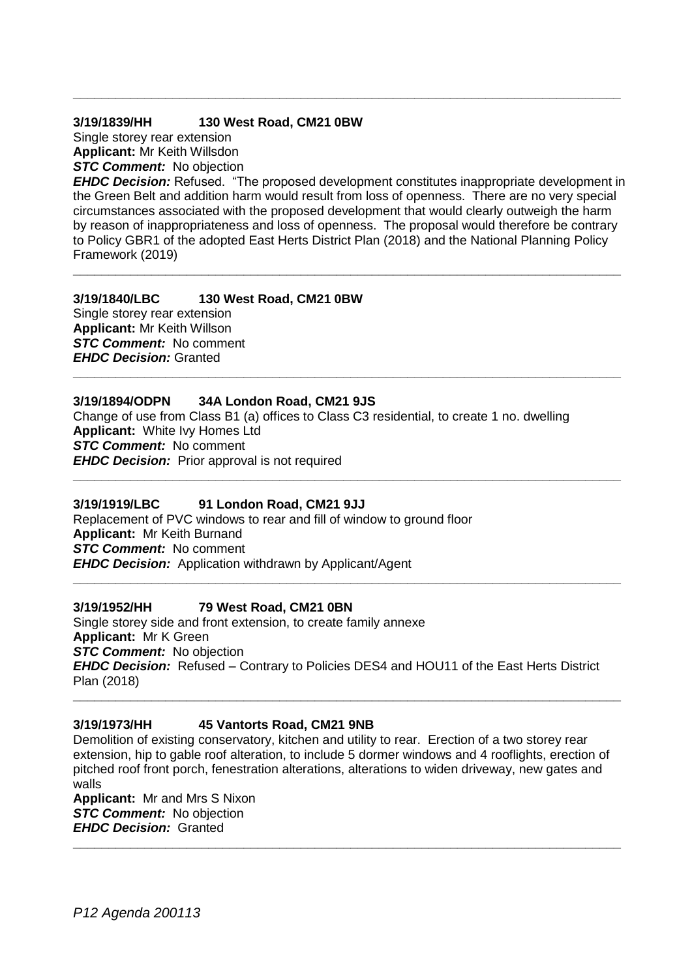# **3/19/1839/HH 130 West Road, CM21 0BW**

Single storey rear extension **Applicant:** Mr Keith Willsdon *STC Comment:* No objection

*EHDC Decision:* Refused. "The proposed development constitutes inappropriate development in the Green Belt and addition harm would result from loss of openness. There are no very special circumstances associated with the proposed development that would clearly outweigh the harm by reason of inappropriateness and loss of openness. The proposal would therefore be contrary to Policy GBR1 of the adopted East Herts District Plan (2018) and the National Planning Policy Framework (2019)

**\_\_\_\_\_\_\_\_\_\_\_\_\_\_\_\_\_\_\_\_\_\_\_\_\_\_\_\_\_\_\_\_\_\_\_\_\_\_\_\_\_\_\_\_\_\_\_\_\_\_\_\_\_\_\_\_\_\_\_\_\_\_\_\_\_\_\_\_\_\_\_\_\_\_\_\_\_**

**\_\_\_\_\_\_\_\_\_\_\_\_\_\_\_\_\_\_\_\_\_\_\_\_\_\_\_\_\_\_\_\_\_\_\_\_\_\_\_\_\_\_\_\_\_\_\_\_\_\_\_\_\_\_\_\_\_\_\_\_\_\_\_\_\_\_\_\_\_\_\_\_\_\_\_\_\_**

# **3/19/1840/LBC 130 West Road, CM21 0BW**

Single storey rear extension **Applicant:** Mr Keith Willson *STC Comment:* No comment *EHDC Decision:* Granted **\_\_\_\_\_\_\_\_\_\_\_\_\_\_\_\_\_\_\_\_\_\_\_\_\_\_\_\_\_\_\_\_\_\_\_\_\_\_\_\_\_\_\_\_\_\_\_\_\_\_\_\_\_\_\_\_\_\_\_\_\_\_\_\_\_\_\_\_\_\_\_\_\_\_\_\_\_**

# **3/19/1894/ODPN 34A London Road, CM21 9JS**

Change of use from Class B1 (a) offices to Class C3 residential, to create 1 no. dwelling **Applicant:** White Ivy Homes Ltd *STC Comment:* No comment *EHDC Decision:* Prior approval is not required

**\_\_\_\_\_\_\_\_\_\_\_\_\_\_\_\_\_\_\_\_\_\_\_\_\_\_\_\_\_\_\_\_\_\_\_\_\_\_\_\_\_\_\_\_\_\_\_\_\_\_\_\_\_\_\_\_\_\_\_\_\_\_\_\_\_\_\_\_\_\_\_\_\_\_\_\_\_**

**\_\_\_\_\_\_\_\_\_\_\_\_\_\_\_\_\_\_\_\_\_\_\_\_\_\_\_\_\_\_\_\_\_\_\_\_\_\_\_\_\_\_\_\_\_\_\_\_\_\_\_\_\_\_\_\_\_\_\_\_\_\_\_\_\_\_\_\_\_\_\_\_\_\_\_\_\_**

# **3/19/1919/LBC 91 London Road, CM21 9JJ**

Replacement of PVC windows to rear and fill of window to ground floor **Applicant:** Mr Keith Burnand *STC Comment:* No comment *EHDC Decision:* Application withdrawn by Applicant/Agent

# **3/19/1952/HH 79 West Road, CM21 0BN**

Single storey side and front extension, to create family annexe **Applicant:** Mr K Green *STC Comment:* No objection *EHDC Decision:* Refused – Contrary to Policies DES4 and HOU11 of the East Herts District Plan (2018)

# **3/19/1973/HH 45 Vantorts Road, CM21 9NB**

Demolition of existing conservatory, kitchen and utility to rear. Erection of a two storey rear extension, hip to gable roof alteration, to include 5 dormer windows and 4 rooflights, erection of pitched roof front porch, fenestration alterations, alterations to widen driveway, new gates and walls

**\_\_\_\_\_\_\_\_\_\_\_\_\_\_\_\_\_\_\_\_\_\_\_\_\_\_\_\_\_\_\_\_\_\_\_\_\_\_\_\_\_\_\_\_\_\_\_\_\_\_\_\_\_\_\_\_\_\_\_\_\_\_\_\_\_\_\_\_\_\_\_\_\_\_\_\_\_**

**Applicant:** Mr and Mrs S Nixon *STC Comment:* No objection *EHDC Decision:* Granted **\_\_\_\_\_\_\_\_\_\_\_\_\_\_\_\_\_\_\_\_\_\_\_\_\_\_\_\_\_\_\_\_\_\_\_\_\_\_\_\_\_\_\_\_\_\_\_\_\_\_\_\_\_\_\_\_\_\_\_\_\_\_\_\_\_\_\_\_\_\_\_\_\_\_\_\_\_**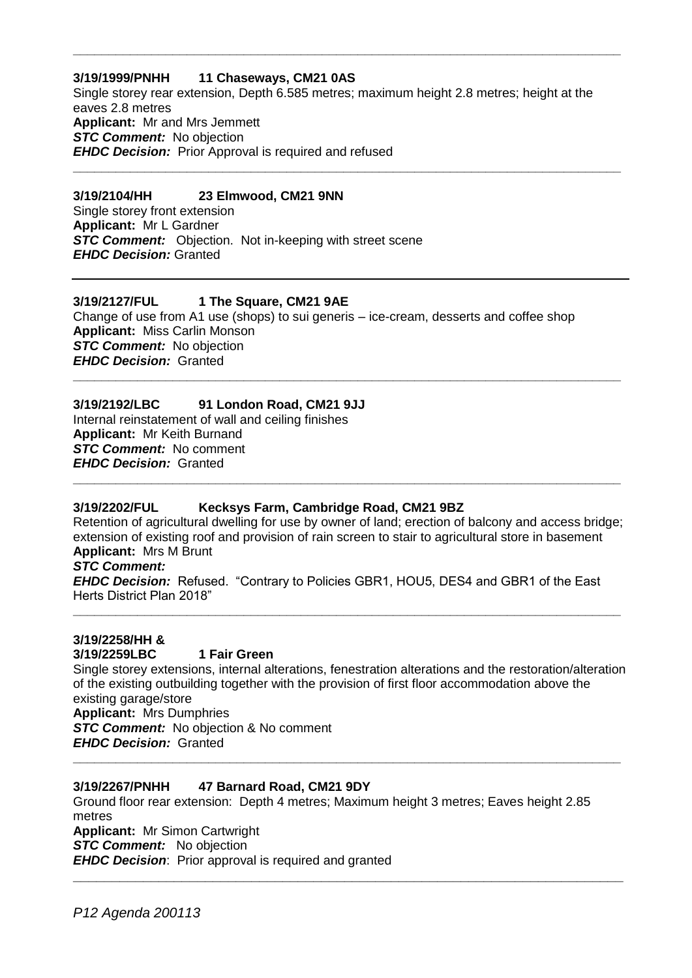## **3/19/1999/PNHH 11 Chaseways, CM21 0AS**

Single storey rear extension, Depth 6.585 metres; maximum height 2.8 metres; height at the eaves 2.8 metres **Applicant:** Mr and Mrs Jemmett **STC Comment:** No objection *EHDC Decision:* Prior Approval is required and refused

**\_\_\_\_\_\_\_\_\_\_\_\_\_\_\_\_\_\_\_\_\_\_\_\_\_\_\_\_\_\_\_\_\_\_\_\_\_\_\_\_\_\_\_\_\_\_\_\_\_\_\_\_\_\_\_\_\_\_\_\_\_\_\_\_\_\_\_\_\_\_\_\_\_\_\_\_\_**

**\_\_\_\_\_\_\_\_\_\_\_\_\_\_\_\_\_\_\_\_\_\_\_\_\_\_\_\_\_\_\_\_\_\_\_\_\_\_\_\_\_\_\_\_\_\_\_\_\_\_\_\_\_\_\_\_\_\_\_\_\_\_\_\_\_\_\_\_\_\_\_\_\_\_\_\_\_**

## **3/19/2104/HH 23 Elmwood, CM21 9NN**

Single storey front extension **Applicant:** Mr L Gardner **STC Comment:** Objection. Not in-keeping with street scene *EHDC Decision:* Granted

# **3/19/2127/FUL 1 The Square, CM21 9AE**

Change of use from A1 use (shops) to sui generis – ice-cream, desserts and coffee shop **Applicant:** Miss Carlin Monson **STC Comment:** No objection *EHDC Decision:* Granted **\_\_\_\_\_\_\_\_\_\_\_\_\_\_\_\_\_\_\_\_\_\_\_\_\_\_\_\_\_\_\_\_\_\_\_\_\_\_\_\_\_\_\_\_\_\_\_\_\_\_\_\_\_\_\_\_\_\_\_\_\_\_\_\_\_\_\_\_\_\_\_\_\_\_\_\_\_**

# **3/19/2192/LBC 91 London Road, CM21 9JJ**

Internal reinstatement of wall and ceiling finishes **Applicant:** Mr Keith Burnand *STC Comment:* No comment *EHDC Decision:* Granted **\_\_\_\_\_\_\_\_\_\_\_\_\_\_\_\_\_\_\_\_\_\_\_\_\_\_\_\_\_\_\_\_\_\_\_\_\_\_\_\_\_\_\_\_\_\_\_\_\_\_\_\_\_\_\_\_\_\_\_\_\_\_\_\_\_\_\_\_\_\_\_\_\_\_\_\_\_**

# **3/19/2202/FUL Kecksys Farm, Cambridge Road, CM21 9BZ**

Retention of agricultural dwelling for use by owner of land; erection of balcony and access bridge; extension of existing roof and provision of rain screen to stair to agricultural store in basement **Applicant:** Mrs M Brunt

## *STC Comment:*

*EHDC Decision:* Refused. "Contrary to Policies GBR1, HOU5, DES4 and GBR1 of the East Herts District Plan 2018"

**\_\_\_\_\_\_\_\_\_\_\_\_\_\_\_\_\_\_\_\_\_\_\_\_\_\_\_\_\_\_\_\_\_\_\_\_\_\_\_\_\_\_\_\_\_\_\_\_\_\_\_\_\_\_\_\_\_\_\_\_\_\_\_\_\_\_\_\_\_\_\_\_\_\_\_\_\_**

# **3/19/2258/HH & 3/19/2259LBC 1 Fair Green**

Single storey extensions, internal alterations, fenestration alterations and the restoration/alteration of the existing outbuilding together with the provision of first floor accommodation above the existing garage/store **Applicant:** Mrs Dumphries *STC Comment:* No objection & No comment

**\_\_\_\_\_\_\_\_\_\_\_\_\_\_\_\_\_\_\_\_\_\_\_\_\_\_\_\_\_\_\_\_\_\_\_\_\_\_\_\_\_\_\_\_\_\_\_\_\_\_\_\_\_\_\_\_\_\_\_\_\_\_\_\_\_\_\_\_\_\_\_\_\_\_\_\_\_**

**\_\_\_\_\_\_\_\_\_\_\_\_\_\_\_\_\_\_\_\_\_\_\_\_\_\_\_\_\_\_\_\_\_\_\_\_\_\_\_\_\_\_\_\_\_\_\_\_\_\_\_\_\_\_\_\_\_\_\_\_\_\_\_\_\_\_\_\_\_\_\_**

*EHDC Decision:* Granted

# **3/19/2267/PNHH 47 Barnard Road, CM21 9DY**

Ground floor rear extension: Depth 4 metres; Maximum height 3 metres; Eaves height 2.85 metres **Applicant:** Mr Simon Cartwright

**STC Comment:** No objection

*EHDC Decision*: Prior approval is required and granted